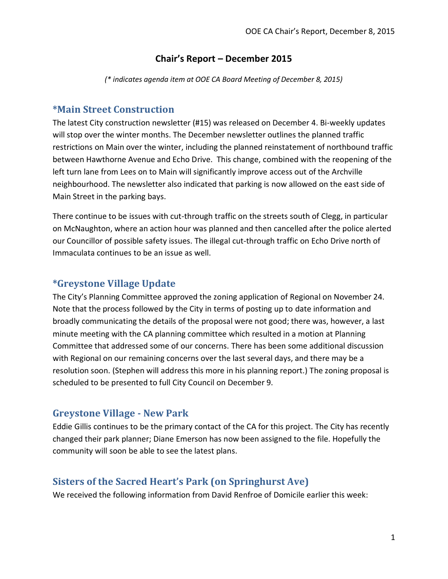#### **Chair's Report – December 2015**

*(\* indicates agenda item at OOE CA Board Meeting of December 8, 2015)*

#### **\*Main Street Construction**

The latest City construction newsletter (#15) was released on December 4. Bi-weekly updates will stop over the winter months. The December newsletter outlines the planned traffic restrictions on Main over the winter, including the planned reinstatement of northbound traffic between Hawthorne Avenue and Echo Drive. This change, combined with the reopening of the left turn lane from Lees on to Main will significantly improve access out of the Archville neighbourhood. The newsletter also indicated that parking is now allowed on the east side of Main Street in the parking bays.

There continue to be issues with cut-through traffic on the streets south of Clegg, in particular on McNaughton, where an action hour was planned and then cancelled after the police alerted our Councillor of possible safety issues. The illegal cut-through traffic on Echo Drive north of Immaculata continues to be an issue as well.

### **\*Greystone Village Update**

The City's Planning Committee approved the zoning application of Regional on November 24. Note that the process followed by the City in terms of posting up to date information and broadly communicating the details of the proposal were not good; there was, however, a last minute meeting with the CA planning committee which resulted in a motion at Planning Committee that addressed some of our concerns. There has been some additional discussion with Regional on our remaining concerns over the last several days, and there may be a resolution soon. (Stephen will address this more in his planning report.) The zoning proposal is scheduled to be presented to full City Council on December 9.

#### **Greystone Village - New Park**

Eddie Gillis continues to be the primary contact of the CA for this project. The City has recently changed their park planner; Diane Emerson has now been assigned to the file. Hopefully the community will soon be able to see the latest plans.

#### **Sisters of the Sacred Heart's Park (on Springhurst Ave)**

We received the following information from David Renfroe of Domicile earlier this week: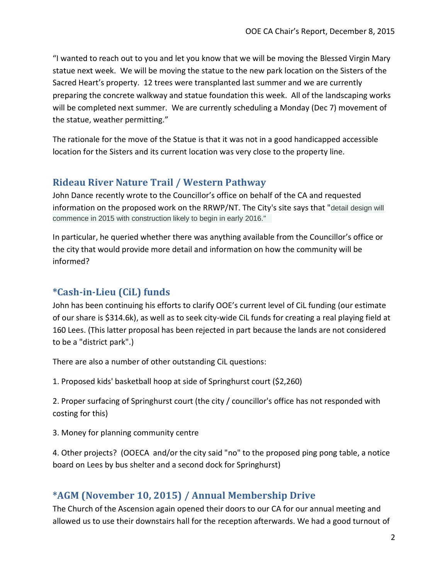"I wanted to reach out to you and let you know that we will be moving the Blessed Virgin Mary statue next week. We will be moving the statue to the new park location on the Sisters of the Sacred Heart's property. 12 trees were transplanted last summer and we are currently preparing the concrete walkway and statue foundation this week. All of the landscaping works will be completed next summer. We are currently scheduling a Monday (Dec 7) movement of the statue, weather permitting."

The rationale for the move of the Statue is that it was not in a good handicapped accessible location for the Sisters and its current location was very close to the property line.

### **Rideau River Nature Trail / Western Pathway**

John Dance recently wrote to the Councillor's office on behalf of the CA and requested information on the proposed work on the RRWP/NT. The City's site says that "detail design will commence in 2015 with construction likely to begin in early 2016."

In particular, he queried whether there was anything available from the Councillor's office or the city that would provide more detail and information on how the community will be informed?

## **\*Cash-in-Lieu (CiL) funds**

John has been continuing his efforts to clarify OOE's current level of CiL funding (our estimate of our share is \$314.6k), as well as to seek city-wide CiL funds for creating a real playing field at 160 Lees. (This latter proposal has been rejected in part because the lands are not considered to be a "district park".)

There are also a number of other outstanding CiL questions:

1. Proposed kids' basketball hoop at side of Springhurst court (\$2,260)

2. Proper surfacing of Springhurst court (the city / councillor's office has not responded with costing for this)

3. Money for planning community centre

4. Other projects? (OOECA and/or the city said "no" to the proposed ping pong table, a notice board on Lees by bus shelter and a second dock for Springhurst)

# **\*AGM (November 10, 2015) / Annual Membership Drive**

The Church of the Ascension again opened their doors to our CA for our annual meeting and allowed us to use their downstairs hall for the reception afterwards. We had a good turnout of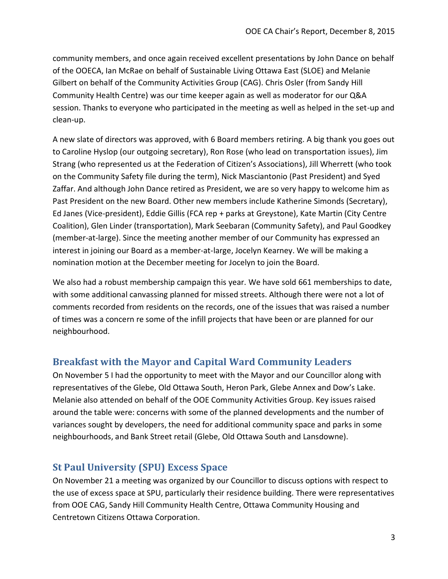community members, and once again received excellent presentations by John Dance on behalf of the OOECA, Ian McRae on behalf of Sustainable Living Ottawa East (SLOE) and Melanie Gilbert on behalf of the Community Activities Group (CAG). Chris Osler (from Sandy Hill Community Health Centre) was our time keeper again as well as moderator for our Q&A session. Thanks to everyone who participated in the meeting as well as helped in the set-up and clean-up.

A new slate of directors was approved, with 6 Board members retiring. A big thank you goes out to Caroline Hyslop (our outgoing secretary), Ron Rose (who lead on transportation issues), Jim Strang (who represented us at the Federation of Citizen's Associations), Jill Wherrett (who took on the Community Safety file during the term), Nick Masciantonio (Past President) and Syed Zaffar. And although John Dance retired as President, we are so very happy to welcome him as Past President on the new Board. Other new members include Katherine Simonds (Secretary), Ed Janes (Vice-president), Eddie Gillis (FCA rep + parks at Greystone), Kate Martin (City Centre Coalition), Glen Linder (transportation), Mark Seebaran (Community Safety), and Paul Goodkey (member-at-large). Since the meeting another member of our Community has expressed an interest in joining our Board as a member-at-large, Jocelyn Kearney. We will be making a nomination motion at the December meeting for Jocelyn to join the Board.

We also had a robust membership campaign this year. We have sold 661 memberships to date, with some additional canvassing planned for missed streets. Although there were not a lot of comments recorded from residents on the records, one of the issues that was raised a number of times was a concern re some of the infill projects that have been or are planned for our neighbourhood.

### **Breakfast with the Mayor and Capital Ward Community Leaders**

On November 5 I had the opportunity to meet with the Mayor and our Councillor along with representatives of the Glebe, Old Ottawa South, Heron Park, Glebe Annex and Dow's Lake. Melanie also attended on behalf of the OOE Community Activities Group. Key issues raised around the table were: concerns with some of the planned developments and the number of variances sought by developers, the need for additional community space and parks in some neighbourhoods, and Bank Street retail (Glebe, Old Ottawa South and Lansdowne).

## **St Paul University (SPU) Excess Space**

On November 21 a meeting was organized by our Councillor to discuss options with respect to the use of excess space at SPU, particularly their residence building. There were representatives from OOE CAG, Sandy Hill Community Health Centre, Ottawa Community Housing and Centretown Citizens Ottawa Corporation.